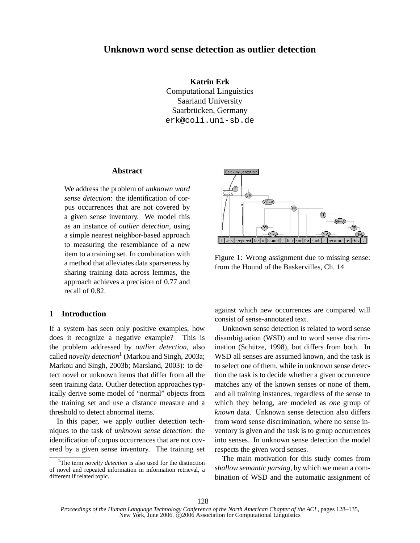# **Unknown word sense detection as outlier detection**

**Katrin Erk** Computational Linguistics Saarland University Saarbrücken, Germany erk@coli.uni-sb.de

#### **Abstract**

We address the problem of *unknown word sense detection*: the identification of corpus occurrences that are not covered by a given sense inventory. We model this as an instance of *outlier detection*, using a simple nearest neighbor-based approach to measuring the resemblance of a new item to a training set. In combination with a method that alleviates data sparseness by sharing training data across lemmas, the approach achieves a precision of 0.77 and recall of 0.82.

#### **1 Introduction**

If a system has seen only positive examples, how does it recognize a negative example? This is the problem addressed by *outlier detection*, also called *novelty detection*<sup>1</sup> (Markou and Singh, 2003a; Markou and Singh, 2003b; Marsland, 2003): to detect novel or unknown items that differ from all the seen training data. Outlier detection approaches typically derive some model of "normal" objects from the training set and use a distance measure and a threshold to detect abnormal items.

In this paper, we apply outlier detection techniques to the task of *unknown sense detection*: the identification of corpus occurrences that are not covered by a given sense inventory. The training set



Figure 1: Wrong assignment due to missing sense: from the Hound of the Baskervilles, Ch. 14

against which new occurrences are compared will consist of sense-annotated text.

Unknown sense detection is related to word sense disambiguation (WSD) and to word sense discrimination (Schütze, 1998), but differs from both. In WSD all senses are assumed known, and the task is to select one of them, while in unknown sense detection the task is to decide whether a given occurrence matches any of the known senses or none of them, and all training instances, regardless of the sense to which they belong, are modeled as *one* group of *known* data. Unknown sense detection also differs from word sense discrimination, where no sense inventory is given and the task is to group occurrences into senses. In unknown sense detection the model respects the given word senses.

The main motivation for this study comes from *shallow semantic parsing*, by which we mean a combination of WSD and the automatic assignment of

<sup>&</sup>lt;sup>1</sup>The term *novelty detection* is also used for the distinction of novel and repeated information in information retrieval, a different if related topic.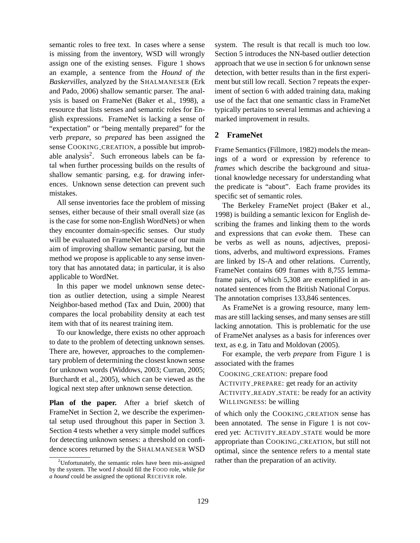semantic roles to free text. In cases where a sense is missing from the inventory, WSD will wrongly assign one of the existing senses. Figure 1 shows an example, a sentence from the *Hound of the Baskervilles*, analyzed by the SHALMANESER (Erk and Pado, 2006) shallow semantic parser. The analysis is based on FrameNet (Baker et al., 1998), a resource that lists senses and semantic roles for English expressions. FrameNet is lacking a sense of "expectation" or "being mentally prepared" for the verb *prepare*, so *prepared* has been assigned the sense COOKING\_CREATION, a possible but improbable analysis<sup>2</sup>. Such erroneous labels can be fatal when further processing builds on the results of shallow semantic parsing, e.g. for drawing inferences. Unknown sense detection can prevent such mistakes.

All sense inventories face the problem of missing senses, either because of their small overall size (as is the case for some non-English WordNets) or when they encounter domain-specific senses. Our study will be evaluated on FrameNet because of our main aim of improving shallow semantic parsing, but the method we propose is applicable to any sense inventory that has annotated data; in particular, it is also applicable to WordNet.

In this paper we model unknown sense detection as outlier detection, using a simple Nearest Neighbor-based method (Tax and Duin, 2000) that compares the local probability density at each test item with that of its nearest training item.

To our knowledge, there exists no other approach to date to the problem of detecting unknown senses. There are, however, approaches to the complementary problem of determining the closest known sense for unknown words (Widdows, 2003; Curran, 2005; Burchardt et al., 2005), which can be viewed as the logical next step after unknown sense detection.

**Plan of the paper.** After a brief sketch of FrameNet in Section 2, we describe the experimental setup used throughout this paper in Section 3. Section 4 tests whether a very simple model suffices for detecting unknown senses: a threshold on confidence scores returned by the SHALMANESER WSD

system. The result is that recall is much too low. Section 5 introduces the NN-based outlier detection approach that we use in section 6 for unknown sense detection, with better results than in the first experiment but still low recall. Section 7 repeats the experiment of section 6 with added training data, making use of the fact that one semantic class in FrameNet typically pertains to several lemmas and achieving a marked improvement in results.

# **2 FrameNet**

Frame Semantics (Fillmore, 1982) models the meanings of a word or expression by reference to *frames* which describe the background and situational knowledge necessary for understanding what the predicate is "about". Each frame provides its specific set of semantic roles.

The Berkeley FrameNet project (Baker et al., 1998) is building a semantic lexicon for English describing the frames and linking them to the words and expressions that can *evoke* them. These can be verbs as well as nouns, adjectives, prepositions, adverbs, and multiword expressions. Frames are linked by IS-A and other relations. Currently, FrameNet contains 609 frames with 8,755 lemmaframe pairs, of which 5,308 are exemplified in annotated sentences from the British National Corpus. The annotation comprises 133,846 sentences.

As FrameNet is a growing resource, many lemmas are still lacking senses, and many senses are still lacking annotation. This is problematic for the use of FrameNet analyses as a basis for inferences over text, as e.g. in Tatu and Moldovan (2005).

For example, the verb *prepare* from Figure 1 is associated with the frames

COOKING CREATION: prepare food

ACTIVITY PREPARE: get ready for an activity ACTIVITY\_READY\_STATE: be ready for an activity WILLINGNESS: be willing

of which only the COOKING CREATION sense has been annotated. The sense in Figure 1 is not covered yet: ACTIVITY\_READY\_STATE would be more appropriate than COOKING CREATION, but still not optimal, since the sentence refers to a mental state rather than the preparation of an activity.

 $2$ Unfortunately, the semantic roles have been mis-assigned by the system. The word *I* should fill the FOOD role, while *for a hound* could be assigned the optional RECEIVER role.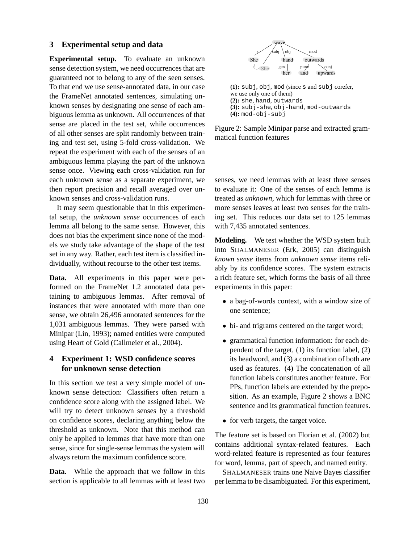#### **3 Experimental setup and data**

**Experimental setup.** To evaluate an unknown sense detection system, we need occurrences that are guaranteed not to belong to any of the seen senses. To that end we use sense-annotated data, in our case the FrameNet annotated sentences, simulating unknown senses by designating one sense of each ambiguous lemma as unknown. All occurrences of that sense are placed in the test set, while occurrences of all other senses are split randomly between training and test set, using 5-fold cross-validation. We repeat the experiment with each of the senses of an ambiguous lemma playing the part of the unknown sense once. Viewing each cross-validation run for each unknown sense as a separate experiment, we then report precision and recall averaged over unknown senses and cross-validation runs. guaranteed not identify the section in the section in the section in the section in the section in the section in the section in the section in the section in the section in the section in the section in the section in th

It may seem questionable that in this experimental setup, the *unknown sense* occurrences of each lemma all belong to the same sense. However, this does not bias the experiment since none of the models we study take advantage of the shape of the test set in any way. Rather, each test item is classified individually, without recourse to the other test items.

**Data.** All experiments in this paper were performed on the FrameNet 1.2 annotated data pertaining to ambiguous lemmas. After removal of instances that were annotated with more than one sense, we obtain 26,496 annotated sentences for the 1,031 ambiguous lemmas. They were parsed with Minipar (Lin, 1993); named entities were computed using Heart of Gold (Callmeier et al., 2004).

# **4 Experiment 1: WSD confidence scores for unknown sense detection**

In this section we test a very simple model of unknown sense detection: Classifiers often return a confidence score along with the assigned label. We will try to detect unknown senses by a threshold on confidence scores, declaring anything below the threshold as unknown. Note that this method can only be applied to lemmas that have more than one sense, since for single-sense lemmas the system will always return the maximum confidence score.

**Data.** While the approach that we follow in this



**(1):** subj, obj, mod (since s and subj corefer, we use only one of them) **(2):** she, hand, outwards **(3):** subj-she, obj-hand, mod-outwards **(4):** mod-obj-subj

Figure 2: Sample Minipar parse and extracted grammatical function features

senses, we need lemmas with at least three senses to evaluate it: One of the senses of each lemma is treated as *unknown*, which for lemmas with three or more senses leaves at least two senses for the training set. This reduces our data set to 125 lemmas with 7,435 annotated sentences.

**Modeling.** We test whether the WSD system built into SHALMANESER (Erk, 2005) can distinguish *known sense* items from *unknown sense* items reliably by its confidence scores. The system extracts a rich feature set, which forms the basis of all three experiments in this paper:

- a bag-of-words context, with a window size of one sentence;
- bi- and trigrams centered on the target word;
- grammatical function information: for each dependent of the target, (1) its function label, (2) its headword, and (3) a combination of both are used as features. (4) The concatenation of all function labels constitutes another feature. For PPs, function labels are extended by the preposition. As an example, Figure 2 shows a BNC sentence and its grammatical function features.
- for verb targets, the target voice.

The feature set is based on Florian et al. (2002) but contains additional syntax-related features. Each word-related feature is represented as four features for word, lemma, part of speech, and named entity.

SHALMANESER trains one Naive Bayes classifier per lemma to be disambiguated. For this experiment,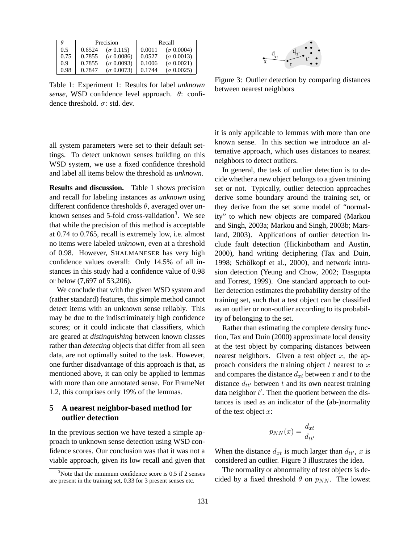|      |        | Precision           | Recall |                   |  |
|------|--------|---------------------|--------|-------------------|--|
| 0.5  | 0.6524 | $(\sigma \, 0.115)$ | 0.0011 | $(\sigma 0.0004)$ |  |
| 0.75 | 0.7855 | $(\sigma 0.0086)$   | 0.0527 | $(\sigma 0.0013)$ |  |
| 0.9  | 0.7855 | $(\sigma 0.0093)$   | 0.1006 | $(\sigma 0.0021)$ |  |
| 0.98 | 0.7847 | $(\sigma 0.0073)$   | 0.1744 | $(\sigma 0.0025)$ |  |

Table 1: Experiment 1: Results for label *unknown sense*, WSD confidence level approach. θ: confidence threshold.  $\sigma$ : std. dev.

t t'  $d_{tt'}$ x  $d_{xt}$ 

Figure 3: Outlier detection by comparing distances between nearest neighbors

all system parameters were set to their default settings. To detect unknown senses building on this WSD system, we use a fixed confidence threshold and label all items below the threshold as *unknown*.

**Results and discussion.** Table 1 shows precision and recall for labeling instances as *unknown* using different confidence thresholds  $\theta$ , averaged over unknown senses and 5-fold cross-validation<sup>3</sup>. We see that while the precision of this method is acceptable at 0.74 to 0.765, recall is extremely low, i.e. almost no items were labeled *unknown*, even at a threshold of 0.98. However, SHALMANESER has very high confidence values overall: Only 14.5% of all instances in this study had a confidence value of 0.98 or below (7,697 of 53,206).

We conclude that with the given WSD system and (rather standard) features, this simple method cannot detect items with an unknown sense reliably. This may be due to the indiscriminately high confidence scores; or it could indicate that classifiers, which are geared at *distinguishing* between known classes rather than *detecting* objects that differ from all seen data, are not optimally suited to the task. However, one further disadvantage of this approach is that, as mentioned above, it can only be applied to lemmas with more than one annotated sense. For FrameNet 1.2, this comprises only 19% of the lemmas.

# **5 A nearest neighbor-based method for outlier detection**

In the previous section we have tested a simple approach to unknown sense detection using WSD confidence scores. Our conclusion was that it was not a viable approach, given its low recall and given that it is only applicable to lemmas with more than one known sense. In this section we introduce an alternative approach, which uses distances to nearest neighbors to detect outliers.

In general, the task of outlier detection is to decide whether a new object belongs to a given training set or not. Typically, outlier detection approaches derive some boundary around the training set, or they derive from the set some model of "normality" to which new objects are compared (Markou and Singh, 2003a; Markou and Singh, 2003b; Marsland, 2003). Applications of outlier detection include fault detection (Hickinbotham and Austin, 2000), hand writing deciphering (Tax and Duin, 1998; Schölkopf et al., 2000), and network intrusion detection (Yeung and Chow, 2002; Dasgupta and Forrest, 1999). One standard approach to outlier detection estimates the probability density of the training set, such that a test object can be classified as an outlier or non-outlier according to its probability of belonging to the set.

Rather than estimating the complete density function, Tax and Duin (2000) approximate local density at the test object by comparing distances between nearest neighbors. Given a test object  $x$ , the approach considers the training object  $t$  nearest to  $x$ and compares the distance  $d_{xt}$  between x and t to the distance  $d_{tt'}$  between t and its own nearest training data neighbor  $t'$ . Then the quotient between the distances is used as an indicator of the (ab-)normality of the test object  $x$ :

$$
p_{NN}(x) = \frac{d_{xt}}{d_{tt'}}
$$

When the distance  $d_{xt}$  is much larger than  $d_{tt}$ , x is considered an outlier. Figure 3 illustrates the idea.

The normality or abnormality of test objects is decided by a fixed threshold  $\theta$  on  $p_{NN}$ . The lowest

 $3$ Note that the minimum confidence score is 0.5 if 2 senses are present in the training set, 0.33 for 3 present senses etc.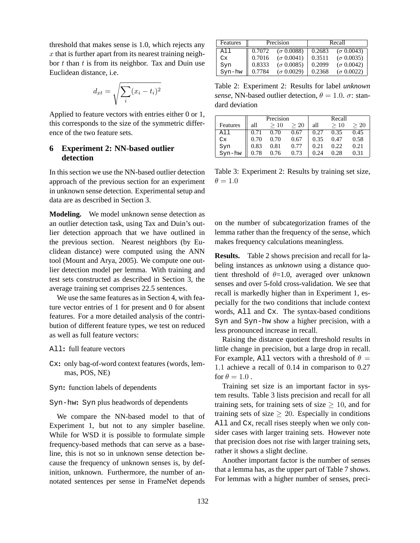threshold that makes sense is 1.0, which rejects any  $x$  that is further apart from its nearest training neighbor  $t$  than  $t$  is from its neighbor. Tax and Duin use Euclidean distance, i.e.

$$
d_{xt} = \sqrt{\sum_{i} (x_i - t_i)^2}
$$

Applied to feature vectors with entries either 0 or 1, this corresponds to the size of the symmetric difference of the two feature sets.

### **6 Experiment 2: NN-based outlier detection**

In this section we use the NN-based outlier detection approach of the previous section for an experiment in unknown sense detection. Experimental setup and data are as described in Section 3.

**Modeling.** We model unknown sense detection as an outlier detection task, using Tax and Duin's outlier detection approach that we have outlined in the previous section. Nearest neighbors (by Euclidean distance) were computed using the ANN tool (Mount and Arya, 2005). We compute one outlier detection model per lemma. With training and test sets constructed as described in Section 3, the average training set comprises 22.5 sentences.

We use the same features as in Section 4, with feature vector entries of 1 for present and 0 for absent features. For a more detailed analysis of the contribution of different feature types, we test on reduced as well as full feature vectors:

- All**:** full feature vectors
- Cx**:** only bag-of-word context features (words, lemmas, POS, NE)
- Syn**:** function labels of dependents

#### Syn-hw**:** Syn plus headwords of dependents

We compare the NN-based model to that of Experiment 1, but not to any simpler baseline. While for WSD it is possible to formulate simple frequency-based methods that can serve as a baseline, this is not so in unknown sense detection because the frequency of unknown senses is, by definition, unknown. Furthermore, the number of annotated sentences per sense in FrameNet depends

| Features       |        | Precision         | Recall |                   |  |
|----------------|--------|-------------------|--------|-------------------|--|
| A <sub>1</sub> | 0.7072 | $(\sigma 0.0088)$ | 0.2683 | $(\sigma 0.0043)$ |  |
| Cx             | 0.7016 | $(\sigma 0.0041)$ | 0.3511 | $(\sigma 0.0035)$ |  |
| Syn            | 0.8333 | $(\sigma 0.0085)$ | 0.2099 | $(\sigma 0.0042)$ |  |
| Syn-hw         | 0.7784 | $(\sigma 0.0029)$ | 0.2368 | $(\sigma 0.0022)$ |  |

Table 2: Experiment 2: Results for label *unknown sense*, NN-based outlier detection,  $\theta = 1.0$ .  $\sigma$ : standard deviation

|          | Precision |      |           | Recall |      |           |
|----------|-----------|------|-----------|--------|------|-----------|
| Features | all       | >10  | $\geq 20$ | all    | >10  | $\geq 20$ |
| All      | 0.71      | 0.70 | 0.67      | 0.27   | 0.35 | 0.45      |
| Cx       | 0.70      | 0.70 | 0.67      | 0.35   | 0.47 | 0.58      |
| Syn      | 0.83      | 0.81 | 0.77      | 0.21   | 0.22 | 0.21      |
| Syn-hw   | 0.78      | 0.76 | 0.73      | 0.24   | 0.28 | 0.31      |

Table 3: Experiment 2: Results by training set size,  $\theta = 1.0$ 

on the number of subcategorization frames of the lemma rather than the frequency of the sense, which makes frequency calculations meaningless.

**Results.** Table 2 shows precision and recall for labeling instances as *unknown* using a distance quotient threshold of  $\theta$ =1.0, averaged over unknown senses and over 5-fold cross-validation. We see that recall is markedly higher than in Experiment 1, especially for the two conditions that include context words, All and Cx. The syntax-based conditions Syn and Syn-hw show a higher precision, with a less pronounced increase in recall.

Raising the distance quotient threshold results in little change in precision, but a large drop in recall. For example, All vectors with a threshold of  $\theta =$ 1.1 achieve a recall of 0.14 in comparison to 0.27 for  $\theta = 1.0$ .

Training set size is an important factor in system results. Table 3 lists precision and recall for all training sets, for training sets of size  $\geq$  10, and for training sets of size  $\geq 20$ . Especially in conditions All and Cx, recall rises steeply when we only consider cases with larger training sets. However note that precision does not rise with larger training sets, rather it shows a slight decline.

Another important factor is the number of senses that a lemma has, as the upper part of Table 7 shows. For lemmas with a higher number of senses, preci-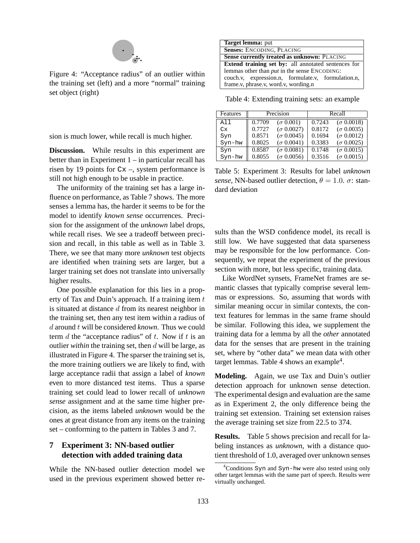

Figure 4: "Acceptance radius" of an outlier within the training set (left) and a more "normal" training set object (right)

sion is much lower, while recall is much higher.

**Discussion.** While results in this experiment are better than in Experiment  $1 -$  in particular recall has risen by 19 points for  $Cx -$ , system performance is still not high enough to be usable in practice.

The uniformity of the training set has a large influence on performance, as Table 7 shows. The more senses a lemma has, the harder it seems to be for the model to identify *known sense* occurrences. Precision for the assignment of the *unknown* label drops, while recall rises. We see a tradeoff between precision and recall, in this table as well as in Table 3. There, we see that many more *unknown* test objects are identified when training sets are larger, but a larger training set does not translate into universally higher results.

One possible explanation for this lies in a property of Tax and Duin's approach. If a training item  $t$ is situated at distance  $d$  from its nearest neighbor in the training set, then any test item within a radius of d around t will be considered *known*. Thus we could term  $d$  the "acceptance radius" of  $t$ . Now if  $t$  is an outlier *within* the training set, then d will be large, as illustrated in Figure 4. The sparser the training set is, the more training outliers we are likely to find, with large acceptance radii that assign a label of *known* even to more distanced test items. Thus a sparse training set could lead to lower recall of *unknown sense* assignment and at the same time higher precision, as the items labeled *unknown* would be the ones at great distance from any items on the training set – conforming to the pattern in Tables 3 and 7.

# **7 Experiment 3: NN-based outlier detection with added training data**

While the NN-based outlier detection model we used in the previous experiment showed better re-

| <b>Target lemma:</b> put                            |  |  |  |  |
|-----------------------------------------------------|--|--|--|--|
| Senses: ENCODING, PLACING                           |  |  |  |  |
| <b>Sense currently treated as unknown: PLACING</b>  |  |  |  |  |
| Extend training set by: all annotated sentences for |  |  |  |  |
| lemmas other than <i>put</i> in the sense ENCODING: |  |  |  |  |
| couch.v, expression.n, formulate.v, formulation.n,  |  |  |  |  |
| frame.v, phrase.v, word.v, wording.n                |  |  |  |  |

Table 4: Extending training sets: an example

| Features |        | Precision         | Recall |                      |  |
|----------|--------|-------------------|--------|----------------------|--|
| All      | 0.7709 | $(\sigma 0.001)$  | 0.7243 | $(\sigma 0.0018)$    |  |
| Cx       | 0.7727 | $(\sigma 0.0027)$ | 0.8172 | $(\sigma \, 0.0035)$ |  |
| Syn      | 0.8571 | $(\sigma 0.0045)$ | 0.1694 | $(\sigma 0.0012)$    |  |
| Syn-hw   | 0.8025 | $(\sigma 0.0041)$ | 0.3383 | $(\sigma 0.0025)$    |  |
| Syn      | 0.8587 | $(\sigma 0.0081)$ | 0.1748 | $(\sigma 0.0015)$    |  |
| Syn-hw   | 0.8055 | $(\sigma 0.0056)$ | 0.3516 | $(\sigma 0.0015)$    |  |

Table 5: Experiment 3: Results for label *unknown sense*, NN-based outlier detection,  $\theta = 1.0$ .  $\sigma$ : standard deviation

sults than the WSD confidence model, its recall is still low. We have suggested that data sparseness may be responsible for the low performance. Consequently, we repeat the experiment of the previous section with more, but less specific, training data.

Like WordNet synsets, FrameNet frames are semantic classes that typically comprise several lemmas or expressions. So, assuming that words with similar meaning occur in similar contexts, the context features for lemmas in the same frame should be similar. Following this idea, we supplement the training data for a lemma by all the *other* annotated data for the senses that are present in the training set, where by "other data" we mean data with other target lemmas. Table 4 shows an example<sup>4</sup>.

**Modeling.** Again, we use Tax and Duin's outlier detection approach for unknown sense detection. The experimental design and evaluation are the same as in Experiment 2, the only difference being the training set extension. Training set extension raises the average training set size from 22.5 to 374.

**Results.** Table 5 shows precision and recall for labeling instances as *unknown*, with a distance quotient threshold of 1.0, averaged over unknown senses

<sup>&</sup>lt;sup>4</sup>Conditions Syn and Syn-hw were also tested using only other target lemmas with the same part of speech. Results were virtually unchanged.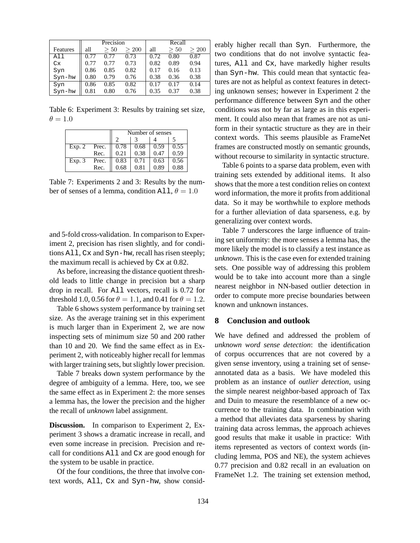|          | Precision |      |       | Recall |      |       |
|----------|-----------|------|-------|--------|------|-------|
| Features | all       | >50  | > 200 | all    | 50   | > 200 |
| All      | 0.77      | 0.77 | 0.73  | 0.72   | 0.80 | 0.87  |
| Cx       | 0.77      | 0.77 | 0.73  | 0.82   | 0.89 | 0.94  |
| Syn      | 0.86      | 0.85 | 0.82  | 0.17   | 0.16 | 0.13  |
| Syn-hw   | 0.80      | 0.79 | 0.76  | 0.38   | 0.36 | 0.38  |
| Syn      | 0.86      | 0.85 | 0.82  | 0.17   | 0.17 | 0.14  |
| Syn-hw   | 0.81      | 0.80 | 0.76  | 0.35   | 0.37 | 0.38  |

Table 6: Experiment 3: Results by training set size,  $\theta = 1.0$ 

|        |       | Number of senses |      |      |      |  |
|--------|-------|------------------|------|------|------|--|
|        |       |                  |      |      |      |  |
| Exp. 2 | Prec. | 0.78             | 0.68 | 0.59 | 0.55 |  |
|        | Rec.  | 0.21             | 0.38 | 0.47 | 0.59 |  |
| Exp.3  | Prec. | 0.83             | 0.71 | 0.63 | 0.56 |  |
|        | Rec.  | 0.68             | 0.81 | 0.89 | 0.88 |  |

Table 7: Experiments 2 and 3: Results by the number of senses of a lemma, condition All,  $\theta = 1.0$ 

and 5-fold cross-validation. In comparison to Experiment 2, precision has risen slightly, and for conditions All, Cx and Syn-hw, recall has risen steeply; the maximum recall is achieved by Cx at 0.82.

As before, increasing the distance quotient threshold leads to little change in precision but a sharp drop in recall. For All vectors, recall is 0.72 for threshold 1.0, 0.56 for  $\theta = 1.1$ , and 0.41 for  $\theta = 1.2$ .

Table 6 shows system performance by training set size. As the average training set in this experiment is much larger than in Experiment 2, we are now inspecting sets of minimum size 50 and 200 rather than 10 and 20. We find the same effect as in Experiment 2, with noticeably higher recall for lemmas with larger training sets, but slightly lower precision.

Table 7 breaks down system performance by the degree of ambiguity of a lemma. Here, too, we see the same effect as in Experiment 2: the more senses a lemma has, the lower the precision and the higher the recall of *unknown* label assignment.

**Discussion.** In comparison to Experiment 2, Experiment 3 shows a dramatic increase in recall, and even some increase in precision. Precision and recall for conditions All and Cx are good enough for the system to be usable in practice.

Of the four conditions, the three that involve context words, All, Cx and Syn-hw, show considerably higher recall than Syn. Furthermore, the two conditions that do not involve syntactic features, All and Cx, have markedly higher results than Syn-hw. This could mean that syntactic features are not as helpful as context features in detecting unknown senses; however in Experiment 2 the performance difference between Syn and the other conditions was not by far as large as in this experiment. It could also mean that frames are not as uniform in their syntactic structure as they are in their context words. This seems plausible as FrameNet frames are constructed mostly on semantic grounds, without recourse to similarity in syntactic structure.

Table 6 points to a sparse data problem, even with training sets extended by additional items. It also shows that the more a test condition relies on context word information, the more it profits from additional data. So it may be worthwhile to explore methods for a further alleviation of data sparseness, e.g. by generalizing over context words.

Table 7 underscores the large influence of training set uniformity: the more senses a lemma has, the more likely the model is to classify a test instance as *unknown*. This is the case even for extended training sets. One possible way of addressing this problem would be to take into account more than a single nearest neighbor in NN-based outlier detection in order to compute more precise boundaries between known and unknown instances.

### **8 Conclusion and outlook**

We have defined and addressed the problem of *unknown word sense detection*: the identification of corpus occurrences that are not covered by a given sense inventory, using a training set of senseannotated data as a basis. We have modeled this problem as an instance of *outlier detection*, using the simple nearest neighbor-based approach of Tax and Duin to measure the resemblance of a new occurrence to the training data. In combination with a method that alleviates data sparseness by sharing training data across lemmas, the approach achieves good results that make it usable in practice: With items represented as vectors of context words (including lemma, POS and NE), the system achieves 0.77 precision and 0.82 recall in an evaluation on FrameNet 1.2. The training set extension method,